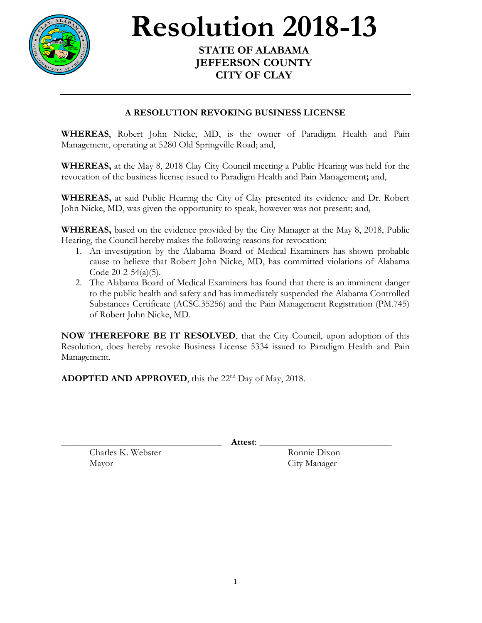

## **Resolution 2018-13**

## **STATE OF ALABAMA JEFFERSON COUNTY CITY OF CLAY**

## **A RESOLUTION REVOKING BUSINESS LICENSE**

**WHEREAS**, Robert John Nicke, MD, is the owner of Paradigm Health and Pain Management, operating at 5280 Old Springville Road; and,

**WHEREAS,** at the May 8, 2018 Clay City Council meeting a Public Hearing was held for the revocation of the business license issued to Paradigm Health and Pain Management**;** and,

**WHEREAS,** at said Public Hearing the City of Clay presented its evidence and Dr. Robert John Nicke, MD, was given the opportunity to speak, however was not present; and,

**WHEREAS,** based on the evidence provided by the City Manager at the May 8, 2018, Public Hearing, the Council hereby makes the following reasons for revocation:

- 1. An investigation by the Alabama Board of Medical Examiners has shown probable cause to believe that Robert John Nicke, MD, has committed violations of Alabama Code 20-2-54(a)(5).
- 2. The Alabama Board of Medical Examiners has found that there is an imminent danger to the public health and safety and has immediately suspended the Alabama Controlled Substances Certificate (ACSC.35256) and the Pain Management Registration (PM.745) of Robert John Nicke, MD.

**NOW THEREFORE BE IT RESOLVED**, that the City Council, upon adoption of this Resolution, does hereby revoke Business License 5334 issued to Paradigm Health and Pain Management.

ADOPTED AND APPROVED, this the 22<sup>nd</sup> Day of May, 2018.

\_\_\_\_\_\_\_\_\_\_\_\_\_\_\_\_\_\_\_\_\_\_\_\_\_\_\_\_\_\_\_\_\_\_ **Attest**: \_\_\_\_\_\_\_\_\_\_\_\_\_\_\_\_\_\_\_\_\_\_\_\_\_\_\_\_

Charles K. Webster Ronnie Dixon Mayor City Manager